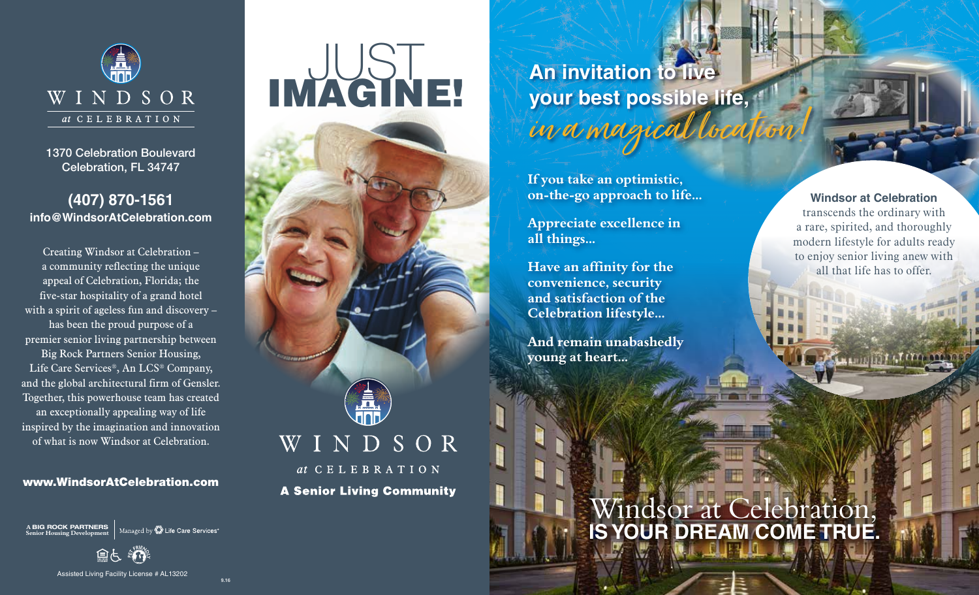

1370 Celebration Boulevard Celebration, FL 34747

#### **(407) 870-1561 info@WindsorAtCelebration.com**

Creating Windsor at Celebration – a community reflecting the unique appeal of Celebration, Florida; the five-star hospitality of a grand hotel with a spirit of ageless fun and discovery – has been the proud purpose of a premier senior living partnership between Big Rock Partners Senior Housing, Life Care Services®, An LCS® Company, and the global architectural firm of Gensler. Together, this powerhouse team has created an exceptionally appealing way of life inspired by the imagination and innovation of what is now Windsor at Celebration.

#### www.WindsorAtCelebration.com

**A** BIG ROCK PARTNERS Managed by  $\overline{\mathbb{Z}}$  Life Care Services<sup>®</sup> **Senior Housing Development** 

Assisted Living Facility License # AL13202

9.16

# **IMAGINE!**



### **An invitation to live your best possible life,** in a magical loc

**If you take an optimistic, on-the-go approach to life...** 

**Appreciate excellence in all things...** 

**Have an affinity for the convenience, security and satisfaction of the Celebration lifestyle...** 

**And remain unabashedly young at heart...**

#### **Windsor at Celebration**

transcends the ordinary with a rare, spirited, and thoroughly modern lifestyle for adults ready to enjoy senior living anew with all that life has to offer.

## Windsor at Celebration, **IS YOUR DREAM COME TRUE.**